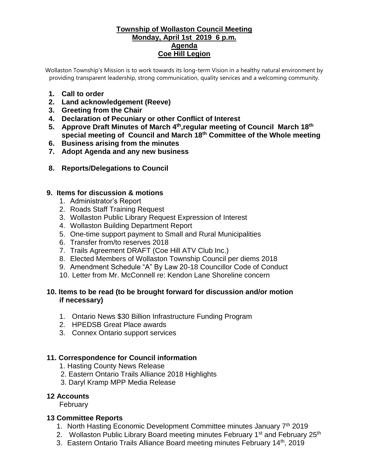### **Township of Wollaston Council Meeting Monday, April 1st 2019 6 p.m. Agenda Coe Hill Legion**

Wollaston Township's Mission is to work towards its long-term Vision in a healthy natural environment by providing transparent leadership, strong communication, quality services and a welcoming community.

- **1. Call to order**
- **2. Land acknowledgement (Reeve)**
- **3. Greeting from the Chair**
- **4. Declaration of Pecuniary or other Conflict of Interest**
- **5. Approve Draft Minutes of March 4th ,regular meeting of Council March 18th special meeting of Council and March 18th Committee of the Whole meeting**
- **6. Business arising from the minutes**
- **7. Adopt Agenda and any new business**
- **8. Reports/Delegations to Council**

#### **9. Items for discussion & motions**

- 1. Administrator's Report
- 2. Roads Staff Training Request
- 3. Wollaston Public Library Request Expression of Interest
- 4. Wollaston Building Department Report
- 5. One-time support payment to Small and Rural Municipalities
- 6. Transfer from/to reserves 2018
- 7. Trails Agreement DRAFT (Coe Hill ATV Club Inc.)
- 8. Elected Members of Wollaston Township Council per diems 2018
- 9. Amendment Schedule "A" By Law 20-18 Councillor Code of Conduct
- 10. Letter from Mr. McConnell re: Kendon Lane Shoreline concern

### **10. Items to be read (to be brought forward for discussion and/or motion if necessary)**

- 1. Ontario News \$30 Billion Infrastructure Funding Program
- 2. HPEDSB Great Place awards
- 3. Connex Ontario support services

### **11. Correspondence for Council information**

- 1. Hasting County News Release
- 2. Eastern Ontario Trails Alliance 2018 Highlights
- 3. Daryl Kramp MPP Media Release

#### **12 Accounts**

February

### **13 Committee Reports**

- 1. North Hasting Economic Development Committee minutes January 7<sup>th</sup> 2019
- 2. Wollaston Public Library Board meeting minutes February 1<sup>st</sup> and February 25<sup>th</sup>
- 3. Eastern Ontario Trails Alliance Board meeting minutes February 14<sup>th</sup>, 2019